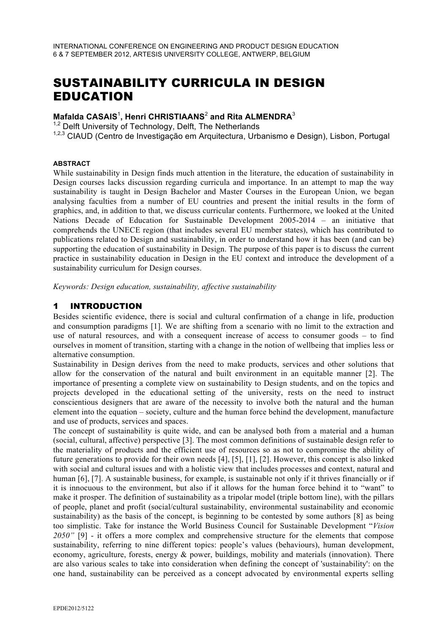# SUSTAINABILITY CURRICULA IN DESIGN EDUCATION

## **Mafalda CASAIS**<sup>1</sup> **, Henri CHRISTIAANS**<sup>2</sup> **and Rita ALMENDRA**<sup>3</sup>

<sup>1,2</sup> Delft University of Technology, Delft, The Netherlands

1,2,3 CIAUD (Centro de Investigação em Arquitectura, Urbanismo e Design), Lisbon, Portugal

#### **ABSTRACT**

While sustainability in Design finds much attention in the literature, the education of sustainability in Design courses lacks discussion regarding curricula and importance. In an attempt to map the way sustainability is taught in Design Bachelor and Master Courses in the European Union, we began analysing faculties from a number of EU countries and present the initial results in the form of graphics, and, in addition to that, we discuss curricular contents. Furthermore, we looked at the United Nations Decade of Education for Sustainable Development 2005-2014 – an initiative that comprehends the UNECE region (that includes several EU member states), which has contributed to publications related to Design and sustainability, in order to understand how it has been (and can be) supporting the education of sustainability in Design. The purpose of this paper is to discuss the current practice in sustainability education in Design in the EU context and introduce the development of a sustainability curriculum for Design courses.

*Keywords: Design education, sustainability, affective sustainability* 

#### 1 INTRODUCTION

Besides scientific evidence, there is social and cultural confirmation of a change in life, production and consumption paradigms [1]. We are shifting from a scenario with no limit to the extraction and use of natural resources, and with a consequent increase of access to consumer goods – to find ourselves in moment of transition, starting with a change in the notion of wellbeing that implies less or alternative consumption.

Sustainability in Design derives from the need to make products, services and other solutions that allow for the conservation of the natural and built environment in an equitable manner [2]. The importance of presenting a complete view on sustainability to Design students, and on the topics and projects developed in the educational setting of the university, rests on the need to instruct conscientious designers that are aware of the necessity to involve both the natural and the human element into the equation – society, culture and the human force behind the development, manufacture and use of products, services and spaces.

The concept of sustainability is quite wide, and can be analysed both from a material and a human (social, cultural, affective) perspective [3]. The most common definitions of sustainable design refer to the materiality of products and the efficient use of resources so as not to compromise the ability of future generations to provide for their own needs [4], [5], [1], [2]. However, this concept is also linked with social and cultural issues and with a holistic view that includes processes and context, natural and human [6], [7]. A sustainable business, for example, is sustainable not only if it thrives financially or if it is innocuous to the environment, but also if it allows for the human force behind it to "want" to make it prosper. The definition of sustainability as a tripolar model (triple bottom line), with the pillars of people, planet and profit (social/cultural sustainability, environmental sustainability and economic sustainability) as the basis of the concept, is beginning to be contested by some authors [8] as being too simplistic. Take for instance the World Business Council for Sustainable Development "*Vision 2050"* [9] - it offers a more complex and comprehensive structure for the elements that compose sustainability, referring to nine different topics: people's values (behaviours), human development, economy, agriculture, forests, energy  $\&$  power, buildings, mobility and materials (innovation). There are also various scales to take into consideration when defining the concept of 'sustainability': on the one hand, sustainability can be perceived as a concept advocated by environmental experts selling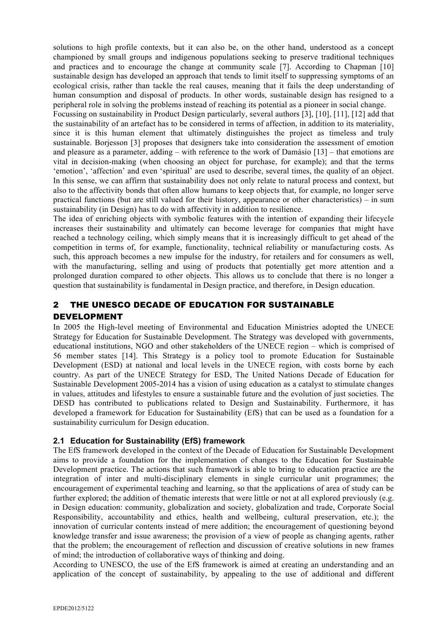solutions to high profile contexts, but it can also be, on the other hand, understood as a concept championed by small groups and indigenous populations seeking to preserve traditional techniques and practices and to encourage the change at community scale [7]. According to Chapman [10] sustainable design has developed an approach that tends to limit itself to suppressing symptoms of an ecological crisis, rather than tackle the real causes, meaning that it fails the deep understanding of human consumption and disposal of products. In other words, sustainable design has resigned to a peripheral role in solving the problems instead of reaching its potential as a pioneer in social change.

Focussing on sustainability in Product Design particularly, several authors [3], [10], [11], [12] add that the sustainability of an artefact has to be considered in terms of affection, in addition to its materiality, since it is this human element that ultimately distinguishes the project as timeless and truly sustainable. Borjesson [3] proposes that designers take into consideration the assessment of emotion and pleasure as a parameter, adding – with reference to the work of Damásio [13] – that emotions are vital in decision-making (when choosing an object for purchase, for example); and that the terms 'emotion', 'affection' and even 'spiritual' are used to describe, several times, the quality of an object. In this sense, we can affirm that sustainability does not only relate to natural process and context, but also to the affectivity bonds that often allow humans to keep objects that, for example, no longer serve practical functions (but are still valued for their history, appearance or other characteristics) – in sum sustainability (in Design) has to do with affectivity in addition to resilience.

The idea of enriching objects with symbolic features with the intention of expanding their lifecycle increases their sustainability and ultimately can become leverage for companies that might have reached a technology ceiling, which simply means that it is increasingly difficult to get ahead of the competition in terms of, for example, functionality, technical reliability or manufacturing costs. As such, this approach becomes a new impulse for the industry, for retailers and for consumers as well, with the manufacturing, selling and using of products that potentially get more attention and a prolonged duration compared to other objects. This allows us to conclude that there is no longer a question that sustainability is fundamental in Design practice, and therefore, in Design education.

## 2 THE UNESCO DECADE OF EDUCATION FOR SUSTAINABLE DEVELOPMENT

In 2005 the High-level meeting of Environmental and Education Ministries adopted the UNECE Strategy for Education for Sustainable Development. The Strategy was developed with governments, educational institutions, NGO and other stakeholders of the UNECE region – which is comprised of 56 member states [14]. This Strategy is a policy tool to promote Education for Sustainable Development (ESD) at national and local levels in the UNECE region, with costs borne by each country. As part of the UNECE Strategy for ESD, The United Nations Decade of Education for Sustainable Development 2005-2014 has a vision of using education as a catalyst to stimulate changes in values, attitudes and lifestyles to ensure a sustainable future and the evolution of just societies. The DESD has contributed to publications related to Design and Sustainability. Furthermore, it has developed a framework for Education for Sustainability (EfS) that can be used as a foundation for a sustainability curriculum for Design education.

## **2.1 Education for Sustainability (EfS) framework**

The EfS framework developed in the context of the Decade of Education for Sustainable Development aims to provide a foundation for the implementation of changes to the Education for Sustainable Development practice. The actions that such framework is able to bring to education practice are the integration of inter and multi-disciplinary elements in single curricular unit programmes; the encouragement of experimental teaching and learning, so that the applications of area of study can be further explored; the addition of thematic interests that were little or not at all explored previously (e.g. in Design education: community, globalization and society, globalization and trade, Corporate Social Responsibility, accountability and ethics, health and wellbeing, cultural preservation, etc.); the innovation of curricular contents instead of mere addition; the encouragement of questioning beyond knowledge transfer and issue awareness; the provision of a view of people as changing agents, rather that the problem; the encouragement of reflection and discussion of creative solutions in new frames of mind; the introduction of collaborative ways of thinking and doing.

According to UNESCO, the use of the EfS framework is aimed at creating an understanding and an application of the concept of sustainability, by appealing to the use of additional and different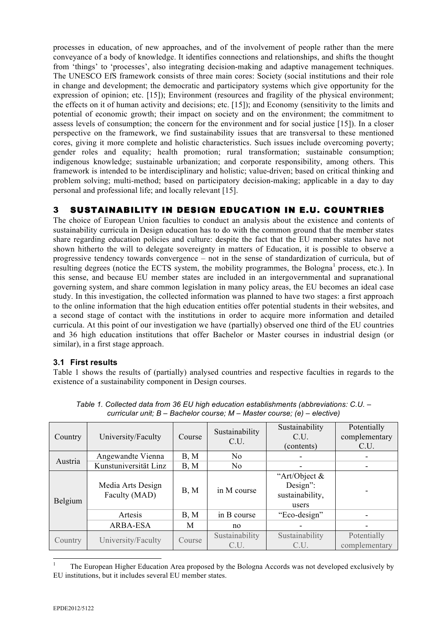processes in education, of new approaches, and of the involvement of people rather than the mere conveyance of a body of knowledge. It identifies connections and relationships, and shifts the thought from 'things' to 'processes', also integrating decision-making and adaptive management techniques. The UNESCO EfS framework consists of three main cores: Society (social institutions and their role in change and development; the democratic and participatory systems which give opportunity for the expression of opinion; etc. [15]); Environment (resources and fragility of the physical environment; the effects on it of human activity and decisions; etc. [15]); and Economy (sensitivity to the limits and potential of economic growth; their impact on society and on the environment; the commitment to assess levels of consumption; the concern for the environment and for social justice [15]). In a closer perspective on the framework, we find sustainability issues that are transversal to these mentioned cores, giving it more complete and holistic characteristics. Such issues include overcoming poverty; gender roles and equality; health promotion; rural transformation; sustainable consumption; indigenous knowledge; sustainable urbanization; and corporate responsibility, among others. This framework is intended to be interdisciplinary and holistic; value-driven; based on critical thinking and problem solving; multi-method; based on participatory decision-making; applicable in a day to day personal and professional life; and locally relevant [15].

# 3 SUSTAINABILITY IN DESIGN EDUCATION IN E.U. COUNTRIES

The choice of European Union faculties to conduct an analysis about the existence and contents of sustainability curricula in Design education has to do with the common ground that the member states share regarding education policies and culture: despite the fact that the EU member states have not shown hitherto the will to delegate sovereignty in matters of Education, it is possible to observe a progressive tendency towards convergence – not in the sense of standardization of curricula, but of resulting degrees (notice the ECTS system, the mobility programmes, the Bologna<sup>1</sup> process, etc.). In this sense, and because EU member states are included in an intergovernmental and supranational governing system, and share common legislation in many policy areas, the EU becomes an ideal case study. In this investigation, the collected information was planned to have two stages: a first approach to the online information that the high education entities offer potential students in their websites, and a second stage of contact with the institutions in order to acquire more information and detailed curricula. At this point of our investigation we have (partially) observed one third of the EU countries and 36 high education institutions that offer Bachelor or Master courses in industrial design (or similar), in a first stage approach.

## **3.1 First results**

Table 1 shows the results of (partially) analysed countries and respective faculties in regards to the existence of a sustainability component in Design courses.

| Country | University/Faculty                 | Course | Sustainability<br>C.U. | Sustainability<br>C U<br>(contents)                   | Potentially<br>complementary<br>C.U. |
|---------|------------------------------------|--------|------------------------|-------------------------------------------------------|--------------------------------------|
| Austria | Angewandte Vienna                  | B, M   | N <sub>0</sub>         |                                                       |                                      |
|         | Kunstuniversität Linz              | B, M   | N <sub>0</sub>         |                                                       |                                      |
| Belgium | Media Arts Design<br>Faculty (MAD) | B, M   | in M course            | "Art/Object &<br>Design":<br>sustainability,<br>users |                                      |
|         | Artesis                            | B, M   | in B course            | "Eco-design"                                          |                                      |
|         | ARBA-ESA                           | M      | no                     |                                                       |                                      |
| Country | University/Faculty                 | Course | Sustainability<br>C.U. | Sustainability<br>C.U.                                | Potentially<br>complementary         |

*Table 1. Collected data from 36 EU high education establishments (abbreviations: C.U. – curricular unit; B – Bachelor course; M – Master course; (e) – elective)*

<sup>-</sup>1 The European Higher Education Area proposed by the Bologna Accords was not developed exclusively by EU institutions, but it includes several EU member states.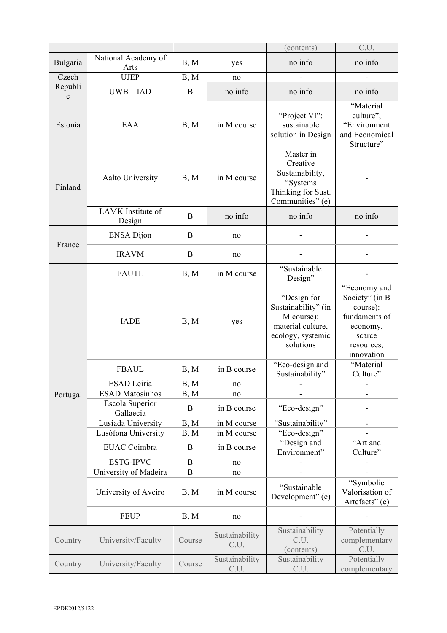|                                 |                                                  |                  |                        | (contents)                                                                                              | C.U.                                                                                                          |
|---------------------------------|--------------------------------------------------|------------------|------------------------|---------------------------------------------------------------------------------------------------------|---------------------------------------------------------------------------------------------------------------|
| Bulgaria                        | National Academy of<br>Arts                      | B, M             | yes                    | no info                                                                                                 | no info                                                                                                       |
| Czech<br>Republi<br>$\mathbf c$ | <b>UJEP</b>                                      | B, M             | no                     |                                                                                                         |                                                                                                               |
|                                 | $UWB - IAD$                                      | B                | no info                | no info                                                                                                 | no info                                                                                                       |
| Estonia                         | EAA                                              | B, M             | in M course            | "Project VI":<br>sustainable<br>solution in Design                                                      | "Material<br>culture";<br>"Environment<br>and Economical<br>Structure"                                        |
| Finland                         | <b>Aalto University</b>                          | B, M             | in M course            | Master in<br>Creative<br>Sustainability,<br>"Systems<br>Thinking for Sust.<br>Communities" (e)          |                                                                                                               |
|                                 | LAMK Institute of<br>Design                      | B                | no info                | no info                                                                                                 | no info                                                                                                       |
| France                          | <b>ENSA Dijon</b>                                | B                | no                     |                                                                                                         |                                                                                                               |
|                                 | <b>IRAVM</b>                                     | B                | no                     |                                                                                                         |                                                                                                               |
|                                 | <b>FAUTL</b>                                     | B, M             | in M course            | "Sustainable<br>Design"                                                                                 |                                                                                                               |
|                                 | <b>IADE</b>                                      | B, M             | yes                    | "Design for<br>Sustainability" (in<br>M course):<br>material culture,<br>ecology, systemic<br>solutions | "Economy and<br>Society" (in B<br>course):<br>fundaments of<br>economy,<br>scarce<br>resources,<br>innovation |
|                                 | <b>FBAUL</b>                                     | B, M             | in B course            | "Eco-design and<br>Sustainability"                                                                      | "Material<br>Culture"                                                                                         |
|                                 | ESAD Leiria                                      | B, M             | no                     |                                                                                                         |                                                                                                               |
| Portugal                        | <b>ESAD Matosinhos</b><br><b>Escola Superior</b> | B, M<br>B        | no<br>in B course      | "Eco-design"                                                                                            |                                                                                                               |
|                                 | Gallaecia<br>Lusíada University                  | B, M             | in M course            | "Sustainability"                                                                                        |                                                                                                               |
|                                 | Lusófona University                              | B, M             | in M course            | "Eco-design"                                                                                            | $\overline{\phantom{a}}$                                                                                      |
|                                 | EUAC Coimbra                                     | B                | in B course            | "Design and<br>Environment"                                                                             | "Art and<br>Culture"                                                                                          |
|                                 | ESTG-IPVC                                        | $\boldsymbol{B}$ | no                     |                                                                                                         |                                                                                                               |
|                                 | University of Madeira                            | B                | no                     |                                                                                                         |                                                                                                               |
|                                 | University of Aveiro                             | B, M             | in M course            | "Sustainable<br>Development" (e)                                                                        | "Symbolic"<br>Valorisation of<br>Artefacts" (e)                                                               |
|                                 | <b>FEUP</b>                                      | B, M             | no                     |                                                                                                         |                                                                                                               |
| Country                         | University/Faculty                               | Course           | Sustainability<br>C.U. | Sustainability<br>C.U.<br>(contents)                                                                    | Potentially<br>complementary<br>C.U.                                                                          |
| Country                         | University/Faculty                               | Course           | Sustainability<br>C.U. | Sustainability<br>C.U.                                                                                  | Potentially<br>complementary                                                                                  |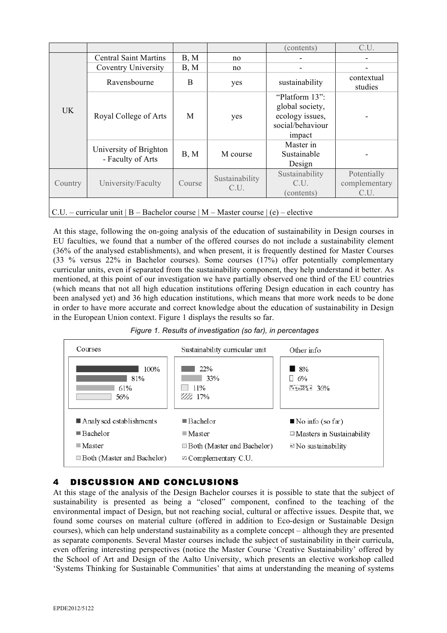|                                                                                   |                                             |        |                        | (contents)                                                                         | C.U.                                 |  |
|-----------------------------------------------------------------------------------|---------------------------------------------|--------|------------------------|------------------------------------------------------------------------------------|--------------------------------------|--|
| <b>UK</b>                                                                         | <b>Central Saint Martins</b>                | B, M   | no                     |                                                                                    |                                      |  |
|                                                                                   | <b>Coventry University</b>                  | B, M   | no                     |                                                                                    |                                      |  |
|                                                                                   | Ravensbourne                                | B      | yes                    | sustainability                                                                     | contextual<br>studies                |  |
|                                                                                   | Royal College of Arts                       | M      | yes                    | "Platform 13":<br>global society,<br>ecology issues,<br>social/behaviour<br>impact |                                      |  |
|                                                                                   | University of Brighton<br>- Faculty of Arts | B, M   | M course               | Master in<br>Sustainable<br>Design                                                 |                                      |  |
| Country                                                                           | University/Faculty                          | Course | Sustainability<br>C.U. | Sustainability<br>C.U.<br>(contents)                                               | Potentially<br>complementary<br>C.U. |  |
| C.U. – curricular unit   B – Bachelor course   M – Master course   (e) – elective |                                             |        |                        |                                                                                    |                                      |  |

At this stage, following the on-going analysis of the education of sustainability in Design courses in EU faculties, we found that a number of the offered courses do not include a sustainability element (36% of the analysed establishments), and when present, it is frequently destined for Master Courses (33 % versus 22% in Bachelor courses). Some courses (17%) offer potentially complementary curricular units, even if separated from the sustainability component, they help understand it better. As mentioned, at this point of our investigation we have partially observed one third of the EU countries (which means that not all high education institutions offering Design education in each country has been analysed yet) and 36 high education institutions, which means that more work needs to be done in order to have more accurate and correct knowledge about the education of sustainability in Design in the European Union context. Figure 1 displays the results so far.





# 4 DISCUSSION AND CONCLUSIONS

At this stage of the analysis of the Design Bachelor courses it is possible to state that the subject of sustainability is presented as being a "closed" component, confined to the teaching of the environmental impact of Design, but not reaching social, cultural or affective issues. Despite that, we found some courses on material culture (offered in addition to Eco-design or Sustainable Design courses), which can help understand sustainability as a complete concept – although they are presented as separate components. Several Master courses include the subject of sustainability in their curricula, even offering interesting perspectives (notice the Master Course 'Creative Sustainability' offered by the School of Art and Design of the Aalto University, which presents an elective workshop called 'Systems Thinking for Sustainable Communities' that aims at understanding the meaning of systems